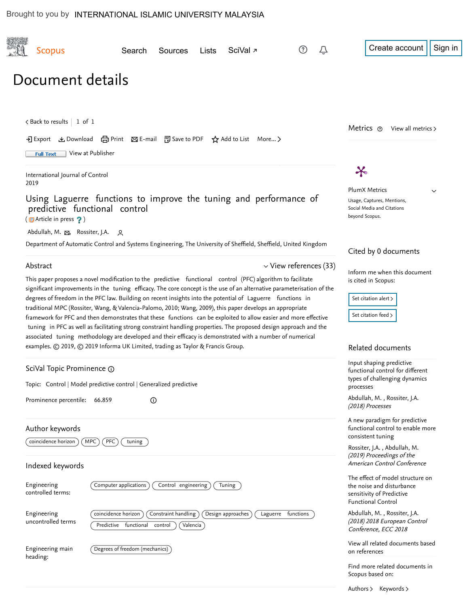| <b>Scopus</b>                             | Search                                                                                                                                                                                                                                                                                                                                                                                                                                                                                                                                                                                                                                                                                                                                                                                                                                                                                                    | Sources                        | Lists    | SciVal <sub></sub> |                             |                                             | Create account                                                                                                   |  |  |
|-------------------------------------------|-----------------------------------------------------------------------------------------------------------------------------------------------------------------------------------------------------------------------------------------------------------------------------------------------------------------------------------------------------------------------------------------------------------------------------------------------------------------------------------------------------------------------------------------------------------------------------------------------------------------------------------------------------------------------------------------------------------------------------------------------------------------------------------------------------------------------------------------------------------------------------------------------------------|--------------------------------|----------|--------------------|-----------------------------|---------------------------------------------|------------------------------------------------------------------------------------------------------------------|--|--|
| Document details                          |                                                                                                                                                                                                                                                                                                                                                                                                                                                                                                                                                                                                                                                                                                                                                                                                                                                                                                           |                                |          |                    |                             |                                             |                                                                                                                  |  |  |
| $\lt$ Back to results   1 of 1            |                                                                                                                                                                                                                                                                                                                                                                                                                                                                                                                                                                                                                                                                                                                                                                                                                                                                                                           |                                |          |                    |                             |                                             | Metrics $\odot$<br>View all metrics >                                                                            |  |  |
| <b>Full Text</b>                          | → Export と Download (금 Print ⊠ E-mail 囤 Save to PDF ☆ Add to List More ><br>View at Publisher                                                                                                                                                                                                                                                                                                                                                                                                                                                                                                                                                                                                                                                                                                                                                                                                             |                                |          |                    |                             |                                             |                                                                                                                  |  |  |
| International Journal of Control<br>2019  |                                                                                                                                                                                                                                                                                                                                                                                                                                                                                                                                                                                                                                                                                                                                                                                                                                                                                                           | $\boldsymbol{\varkappa}$       |          |                    |                             |                                             |                                                                                                                  |  |  |
| (5) Article in press ?)                   | Using Laguerre functions to improve the tuning and performance of<br>predictive functional control                                                                                                                                                                                                                                                                                                                                                                                                                                                                                                                                                                                                                                                                                                                                                                                                        |                                |          |                    |                             | <b>PlumX Metrics</b><br>beyond Scopus.      | $\checkmark$<br>Usage, Captures, Mentions,<br>Social Media and Citations                                         |  |  |
| Abdullah, M. $\boxtimes$ , Rossiter, J.A. | ു<br>Department of Automatic Control and Systems Engineering, The University of Sheffield, Sheffield, United Kingdom                                                                                                                                                                                                                                                                                                                                                                                                                                                                                                                                                                                                                                                                                                                                                                                      |                                |          |                    |                             |                                             | Cited by 0 documents                                                                                             |  |  |
| Abstract                                  |                                                                                                                                                                                                                                                                                                                                                                                                                                                                                                                                                                                                                                                                                                                                                                                                                                                                                                           |                                |          |                    | $\vee$ View references (33) |                                             |                                                                                                                  |  |  |
|                                           | This paper proposes a novel modification to the predictive functional control (PFC) algorithm to facilitate<br>significant improvements in the tuning efficacy. The core concept is the use of an alternative parameterisation of the<br>degrees of freedom in the PFC law. Building on recent insights into the potential of Laguerre functions in<br>traditional MPC (Rossiter, Wang, & Valencia-Palomo, 2010; Wang, 2009), this paper develops an appropriate<br>framework for PFC and then demonstrates that these functions can be exploited to allow easier and more effective<br>tuning in PFC as well as facilitating strong constraint handling properties. The proposed design approach and the<br>associated tuning methodology are developed and their efficacy is demonstrated with a number of numerical<br>examples. © 2019, © 2019 Informa UK Limited, trading as Taylor & Francis Group. |                                |          |                    |                             | is cited in Scopus:<br>Set citation alert > | Set citation feed ><br>Related documents                                                                         |  |  |
| SciVal Topic Prominence 1                 | Input shaping predictive<br>functional control for different                                                                                                                                                                                                                                                                                                                                                                                                                                                                                                                                                                                                                                                                                                                                                                                                                                              |                                |          |                    |                             |                                             |                                                                                                                  |  |  |
|                                           | Topic: Control   Model predictive control   Generalized predictive                                                                                                                                                                                                                                                                                                                                                                                                                                                                                                                                                                                                                                                                                                                                                                                                                                        |                                |          |                    |                             |                                             | types of challenging dynamics<br>processes                                                                       |  |  |
| Prominence percentile:                    | 66.859                                                                                                                                                                                                                                                                                                                                                                                                                                                                                                                                                                                                                                                                                                                                                                                                                                                                                                    | $\odot$                        |          |                    |                             | (2018) Processes                            | Abdullah, M., Rossiter, J.A.                                                                                     |  |  |
| Author keywords<br>coincidence horizon    | M <sub>PC</sub><br>PFC<br>tuning                                                                                                                                                                                                                                                                                                                                                                                                                                                                                                                                                                                                                                                                                                                                                                                                                                                                          |                                |          |                    |                             | consistent tuning                           | A new paradigm for predictive<br>functional control to enable more                                               |  |  |
| Indexed keywords                          |                                                                                                                                                                                                                                                                                                                                                                                                                                                                                                                                                                                                                                                                                                                                                                                                                                                                                                           |                                |          |                    |                             |                                             | Rossiter, J.A., Abdullah, M.<br>(2019) Proceedings of the<br>American Control Conference                         |  |  |
| Engineering<br>controlled terms:          | Computer applications                                                                                                                                                                                                                                                                                                                                                                                                                                                                                                                                                                                                                                                                                                                                                                                                                                                                                     | Control engineering            |          | Tuning             |                             |                                             | The effect of model structure on<br>the noise and disturbance<br>sensitivity of Predictive<br>Functional Control |  |  |
| Engineering<br>uncontrolled terms         | coincidence horizon<br>Predictive functional                                                                                                                                                                                                                                                                                                                                                                                                                                                                                                                                                                                                                                                                                                                                                                                                                                                              | Constraint handling<br>control | Valencia | Design approaches  | Laguerre functions          |                                             | Abdullah, M., Rossiter, J.A.<br>(2018) 2018 European Control<br>Conference, ECC 2018                             |  |  |
| Engineering main<br>heading:              | Degrees of freedom (mechanics)                                                                                                                                                                                                                                                                                                                                                                                                                                                                                                                                                                                                                                                                                                                                                                                                                                                                            |                                |          |                    |                             | on references                               | View all related documents based                                                                                 |  |  |
|                                           |                                                                                                                                                                                                                                                                                                                                                                                                                                                                                                                                                                                                                                                                                                                                                                                                                                                                                                           |                                |          |                    |                             | Scopus based on:                            | Find more related documents in                                                                                   |  |  |